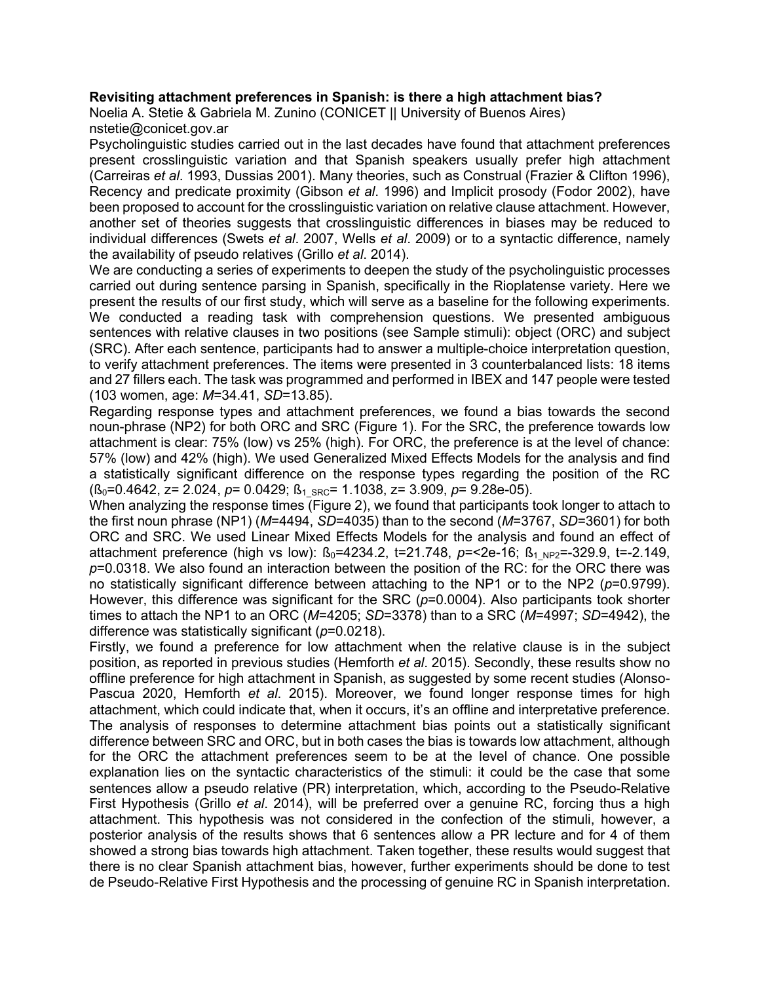## **Revisiting attachment preferences in Spanish: is there a high attachment bias?**

Noelia A. Stetie & Gabriela M. Zunino (CONICET || University of Buenos Aires) nstetie@conicet.gov.ar

Psycholinguistic studies carried out in the last decades have found that attachment preferences present crosslinguistic variation and that Spanish speakers usually prefer high attachment (Carreiras *et al*. 1993, Dussias 2001). Many theories, such as Construal (Frazier & Clifton 1996), Recency and predicate proximity (Gibson *et al*. 1996) and Implicit prosody (Fodor 2002), have been proposed to account for the crosslinguistic variation on relative clause attachment. However, another set of theories suggests that crosslinguistic differences in biases may be reduced to individual differences (Swets *et al*. 2007, Wells *et al*. 2009) or to a syntactic difference, namely the availability of pseudo relatives (Grillo *et al*. 2014).

We are conducting a series of experiments to deepen the study of the psycholinguistic processes carried out during sentence parsing in Spanish, specifically in the Rioplatense variety. Here we present the results of our first study, which will serve as a baseline for the following experiments. We conducted a reading task with comprehension questions. We presented ambiguous sentences with relative clauses in two positions (see Sample stimuli): object (ORC) and subject (SRC). After each sentence, participants had to answer a multiple-choice interpretation question, to verify attachment preferences. The items were presented in 3 counterbalanced lists: 18 items and 27 fillers each. The task was programmed and performed in IBEX and 147 people were tested (103 women, age: *M*=34.41, *SD*=13.85).

Regarding response types and attachment preferences, we found a bias towards the second noun-phrase (NP2) for both ORC and SRC (Figure 1). For the SRC, the preference towards low attachment is clear: 75% (low) vs 25% (high). For ORC, the preference is at the level of chance: 57% (low) and 42% (high). We used Generalized Mixed Effects Models for the analysis and find a statistically significant difference on the response types regarding the position of the RC ( $\beta_0$ =0.4642, z= 2.024, *p*= 0.0429;  $\beta_1$ <sub>SRC</sub>= 1.1038, z= 3.909, *p*= 9.28e-05).

When analyzing the response times (Figure 2), we found that participants took longer to attach to the first noun phrase (NP1) (*M*=4494, *SD*=4035) than to the second (*M*=3767, *SD*=3601) for both ORC and SRC. We used Linear Mixed Effects Models for the analysis and found an effect of attachment preference (high vs low):  $B_0$ =4234.2, t=21.748, p=<2e-16;  $B_1$ <sub>NP2</sub>=-329.9, t=-2.149, *p*=0.0318. We also found an interaction between the position of the RC: for the ORC there was no statistically significant difference between attaching to the NP1 or to the NP2 (*p*=0.9799). However, this difference was significant for the SRC ( $p=0.0004$ ). Also participants took shorter times to attach the NP1 to an ORC (*M*=4205; *SD*=3378) than to a SRC (*M*=4997; *SD*=4942), the difference was statistically significant (*p*=0.0218).

Firstly, we found a preference for low attachment when the relative clause is in the subject position, as reported in previous studies (Hemforth *et al*. 2015). Secondly, these results show no offline preference for high attachment in Spanish, as suggested by some recent studies (Alonso-Pascua 2020, Hemforth *et al*. 2015). Moreover, we found longer response times for high attachment, which could indicate that, when it occurs, it's an offline and interpretative preference. The analysis of responses to determine attachment bias points out a statistically significant difference between SRC and ORC, but in both cases the bias is towards low attachment, although for the ORC the attachment preferences seem to be at the level of chance. One possible explanation lies on the syntactic characteristics of the stimuli: it could be the case that some sentences allow a pseudo relative (PR) interpretation, which, according to the Pseudo-Relative First Hypothesis (Grillo *et al*. 2014), will be preferred over a genuine RC, forcing thus a high attachment. This hypothesis was not considered in the confection of the stimuli, however, a posterior analysis of the results shows that 6 sentences allow a PR lecture and for 4 of them showed a strong bias towards high attachment. Taken together, these results would suggest that there is no clear Spanish attachment bias, however, further experiments should be done to test de Pseudo-Relative First Hypothesis and the processing of genuine RC in Spanish interpretation.